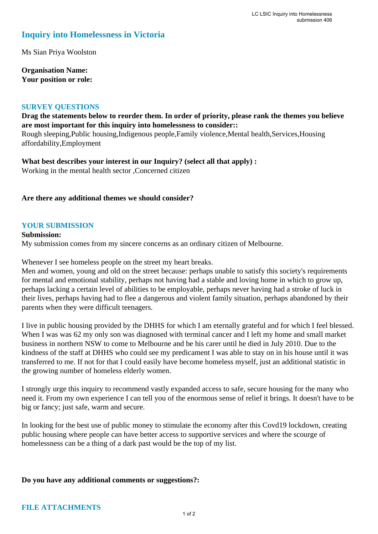# **Inquiry into Homelessness in Victoria**

Ms Sian Priya Woolston

**Organisation Name: Your position or role:** 

#### **SURVEY QUESTIONS**

**Drag the statements below to reorder them. In order of priority, please rank the themes you believe are most important for this inquiry into homelessness to consider::** 

Rough sleeping,Public housing,Indigenous people,Family violence,Mental health,Services,Housing affordability,Employment

**What best describes your interest in our Inquiry? (select all that apply) :**  Working in the mental health sector ,Concerned citizen

## **Are there any additional themes we should consider?**

## **YOUR SUBMISSION**

**Submission:**  My submission comes from my sincere concerns as an ordinary citizen of Melbourne.

Whenever I see homeless people on the street my heart breaks.

Men and women, young and old on the street because: perhaps unable to satisfy this society's requirements for mental and emotional stability, perhaps not having had a stable and loving home in which to grow up, perhaps lacking a certain level of abilities to be employable, perhaps never having had a stroke of luck in their lives, perhaps having had to flee a dangerous and violent family situation, perhaps abandoned by their parents when they were difficult teenagers.

I live in public housing provided by the DHHS for which I am eternally grateful and for which I feel blessed. When I was was 62 my only son was diagnosed with terminal cancer and I left my home and small market business in northern NSW to come to Melbourne and be his carer until he died in July 2010. Due to the kindness of the staff at DHHS who could see my predicament I was able to stay on in his house until it was transferred to me. If not for that I could easily have become homeless myself, just an additional statistic in the growing number of homeless elderly women.

I strongly urge this inquiry to recommend vastly expanded access to safe, secure housing for the many who need it. From my own experience I can tell you of the enormous sense of relief it brings. It doesn't have to be big or fancy; just safe, warm and secure.

In looking for the best use of public money to stimulate the economy after this Covd19 lockdown, creating public housing where people can have better access to supportive services and where the scourge of homelessness can be a thing of a dark past would be the top of my list.

#### **Do you have any additional comments or suggestions?:**